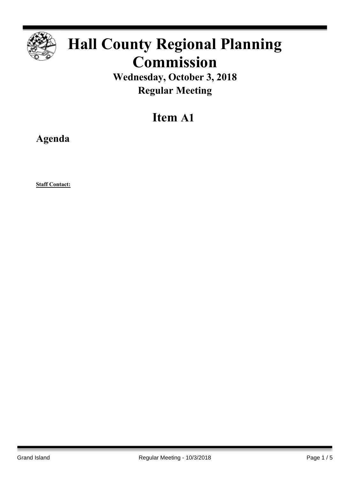

# **Hall County Regional Planning Commission**

**Wednesday, October 3, 2018 Regular Meeting**

## **Item A1**

**Agenda**

**Staff Contact:**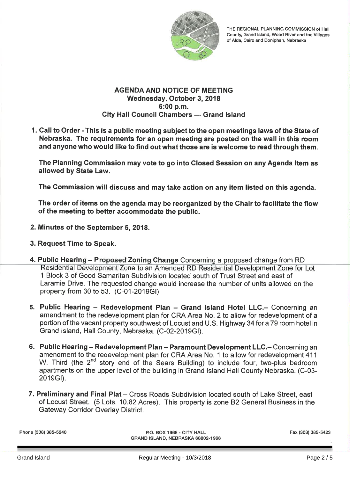

THE REGIONAL PLANNING COMMISSION of Hall County, Grand Island, Wood River and the Villages of Alda, Cairo and Doniphan, Nebraska

#### **AGENDA AND NOTICE OF MEETING** Wednesday, October 3, 2018 6:00 p.m. City Hall Council Chambers - Grand Island

1. Call to Order - This is a public meeting subject to the open meetings laws of the State of Nebraska. The requirements for an open meeting are posted on the wall in this room and anyone who would like to find out what those are is welcome to read through them.

The Planning Commission may vote to go into Closed Session on any Agenda Item as allowed by State Law.

The Commission will discuss and may take action on any item listed on this agenda.

The order of items on the agenda may be reorganized by the Chair to facilitate the flow of the meeting to better accommodate the public.

- 2. Minutes of the September 5, 2018.
- 3. Request Time to Speak.
- 4. Public Hearing Proposed Zoning Change Concerning a proposed change from RD Residential Development Zone to an Amended RD Residential Development Zone for Lot 1 Block 3 of Good Samaritan Subdivision located south of Trust Street and east of Laramie Drive. The requested change would increase the number of units allowed on the property from 30 to 53. (C-01-2019GI)
- 5. Public Hearing Redevelopment Plan Grand Island Hotel LLC. Concerning an amendment to the redevelopment plan for CRA Area No. 2 to allow for redevelopment of a portion of the vacant property southwest of Locust and U.S. Highway 34 for a 79 room hotel in Grand Island, Hall County, Nebraska, (C-02-2019GI).
- 6. Public Hearing Redevelopment Plan Paramount Development LLC. Concerning an amendment to the redevelopment plan for CRA Area No. 1 to allow for redevelopment 411 W. Third (the 2<sup>nd</sup> story end of the Sears Building) to include four, two-plus bedroom apartments on the upper level of the building in Grand Island Hall County Nebraska. (C-03-2019GI).
- 7. Preliminary and Final Plat Cross Roads Subdivision located south of Lake Street, east of Locust Street. (5 Lots, 10.82 Acres). This property is zone B2 General Business in the **Gateway Corridor Overlay District.**

Phone (308) 385-5240

P.O. BOX 1968 - CITY HALL GRAND ISLAND, NEBRASKA 68802-1968 Fax (308) 385-5423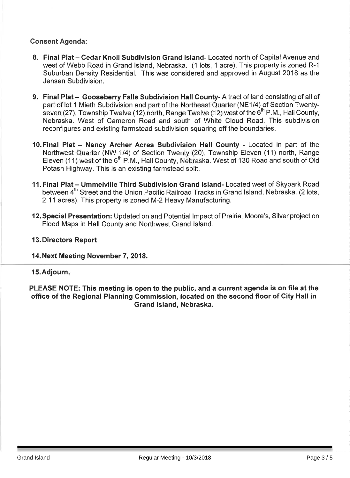### **Consent Agenda:**

- 8. Final Plat Cedar Knoll Subdivision Grand Island-Located north of Capital Avenue and west of Webb Road in Grand Island, Nebraska. (1 lots, 1 acre). This property is zoned R-1 Suburban Density Residential. This was considered and approved in August 2018 as the Jensen Subdivision
- 9. Final Plat Gooseberry Falls Subdivision Hall County-A tract of land consisting of all of part of lot 1 Mieth Subdivision and part of the Northeast Quarter (NE1/4) of Section Twentyseven (27), Township Twelve (12) north, Range Twelve (12) west of the 6<sup>th</sup> P.M., Hall County. Nebraska. West of Cameron Road and south of White Cloud Road. This subdivision reconfigures and existing farmstead subdivision squaring off the boundaries.
- 10. Final Plat Nancy Archer Acres Subdivision Hall County Located in part of the Northwest Quarter (NW 1/4) of Section Twenty (20). Township Eleven (11) north, Range Eleven (11) west of the 6<sup>th</sup> P.M., Hall County, Nebraska, West of 130 Road and south of Old Potash Highway. This is an existing farmstead split.
- 11. Final Plat Ummelville Third Subdivision Grand Island-Located west of Skypark Road between 4<sup>th</sup> Street and the Union Pacific Railroad Tracks in Grand Island, Nebraska. (2 lots, 2.11 acres). This property is zoned M-2 Heavy Manufacturing.
- 12. Special Presentation: Updated on and Potential Impact of Prairie, Moore's, Silver project on Flood Maps in Hall County and Northwest Grand Island.

#### **13. Directors Report**

#### 14. Next Meeting November 7, 2018.

#### 15. Adjourn.

PLEASE NOTE: This meeting is open to the public, and a current agenda is on file at the office of the Regional Planning Commission, located on the second floor of City Hall in Grand Island, Nebraska.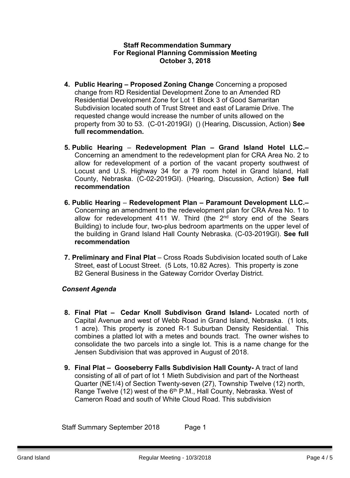#### **Staff Recommendation Summary For Regional Planning Commission Meeting October 3, 2018**

- **4. Public Hearing – Proposed Zoning Change** Concerning a proposed change from RD Residential Development Zone to an Amended RD Residential Development Zone for Lot 1 Block 3 of Good Samaritan Subdivision located south of Trust Street and east of Laramie Drive. The requested change would increase the number of units allowed on the property from 30 to 53. (C-01-2019GI) () (Hearing, Discussion, Action) **See full recommendation.**
- **5. Public Hearing Redevelopment Plan – Grand Island Hotel LLC.–** Concerning an amendment to the redevelopment plan for CRA Area No. 2 to allow for redevelopment of a portion of the vacant property southwest of Locust and U.S. Highway 34 for a 79 room hotel in Grand Island, Hall County, Nebraska. (C-02-2019GI). (Hearing, Discussion, Action) **See full recommendation**
- **6. Public Hearing Redevelopment Plan – Paramount Development LLC.–** Concerning an amendment to the redevelopment plan for CRA Area No. 1 to allow for redevelopment 411 W. Third (the 2<sup>nd</sup> story end of the Sears Building) to include four, two-plus bedroom apartments on the upper level of the building in Grand Island Hall County Nebraska. (C-03-2019GI). **See full recommendation**
- **7. Preliminary and Final Plat** Cross Roads Subdivision located south of Lake Street, east of Locust Street. (5 Lots, 10.82 Acres). This property is zone B2 General Business in the Gateway Corridor Overlay District.

#### *Consent Agenda*

- **8. Final Plat – Cedar Knoll Subdivison Grand Island-** Located north of Capital Avenue and west of Webb Road in Grand Island, Nebraska. (1 lots, 1 acre). This property is zoned R-1 Suburban Density Residential. This combines a platted lot with a metes and bounds tract. The owner wishes to consolidate the two parcels into a single lot. This is a name change for the Jensen Subdivision that was approved in August of 2018.
- **9. Final Plat – Gooseberry Falls Subdivision Hall County-** A tract of land consisting of all of part of lot 1 Mieth Subdivision and part of the Northeast Quarter (NE1/4) of Section Twenty-seven (27), Township Twelve (12) north, Range Twelve (12) west of the 6<sup>th</sup> P.M., Hall County, Nebraska. West of Cameron Road and south of White Cloud Road. This subdivision

Staff Summary September 2018 Page 1